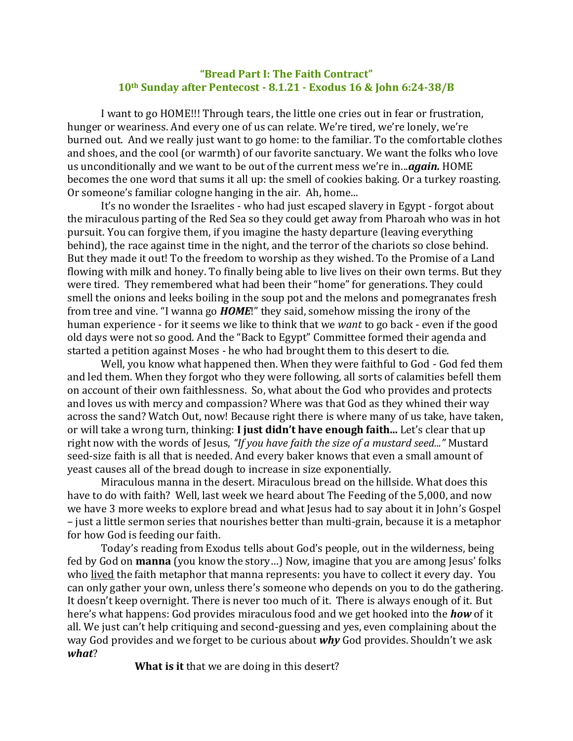## **"Bread Part I: The Faith Contract" 10th Sunday after Pentecost - 8.1.21 - Exodus 16 & John 6:24-38/B**

I want to go HOME!!! Through tears, the little one cries out in fear or frustration, hunger or weariness. And every one of us can relate. We're tired, we're lonely, we're burned out. And we really just want to go home: to the familiar. To the comfortable clothes and shoes, and the cool (or warmth) of our favorite sanctuary. We want the folks who love us unconditionally and we want to be out of the current mess we're in...*again.* HOME becomes the one word that sums it all up: the smell of cookies baking. Or a turkey roasting. Or someone's familiar cologne hanging in the air. Ah, home...

It's no wonder the Israelites - who had just escaped slavery in Egypt - forgot about the miraculous parting of the Red Sea so they could get away from Pharoah who was in hot pursuit. You can forgive them, if you imagine the hasty departure (leaving everything behind), the race against time in the night, and the terror of the chariots so close behind. But they made it out! To the freedom to worship as they wished. To the Promise of a Land flowing with milk and honey. To finally being able to live lives on their own terms. But they were tired. They remembered what had been their "home" for generations. They could smell the onions and leeks boiling in the soup pot and the melons and pomegranates fresh from tree and vine. "I wanna go *HOME*!" they said, somehow missing the irony of the human experience - for it seems we like to think that we *want* to go back - even if the good old days were not so good. And the "Back to Egypt" Committee formed their agenda and started a petition against Moses - he who had brought them to this desert to die.

Well, you know what happened then. When they were faithful to God - God fed them and led them. When they forgot who they were following, all sorts of calamities befell them on account of their own faithlessness. So, what about the God who provides and protects and loves us with mercy and compassion? Where was that God as they whined their way across the sand? Watch Out, now! Because right there is where many of us take, have taken, or will take a wrong turn, thinking: **I just didn't have enough faith...** Let's clear that up right now with the words of Jesus, *"If you have faith the size of a mustard seed..."* Mustard seed-size faith is all that is needed. And every baker knows that even a small amount of yeast causes all of the bread dough to increase in size exponentially.

Miraculous manna in the desert. Miraculous bread on the hillside. What does this have to do with faith? Well, last week we heard about The Feeding of the 5,000, and now we have 3 more weeks to explore bread and what Jesus had to say about it in John's Gospel – just a little sermon series that nourishes better than multi-grain, because it is a metaphor for how God is feeding our faith.

Today's reading from Exodus tells about God's people, out in the wilderness, being fed by God on **manna** (you know the story…) Now, imagine that you are among Jesus' folks who lived the faith metaphor that manna represents: you have to collect it every day. You can only gather your own, unless there's someone who depends on you to do the gathering. It doesn't keep overnight. There is never too much of it. There is always enough of it. But here's what happens: God provides miraculous food and we get hooked into the *how* of it all. We just can't help critiquing and second-guessing and yes, even complaining about the way God provides and we forget to be curious about *why* God provides. Shouldn't we ask *what*?

**What is it** that we are doing in this desert?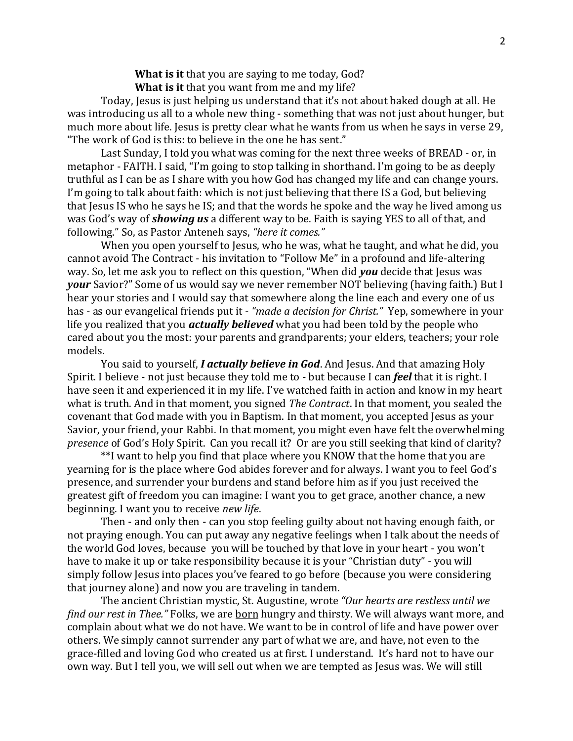**What is it** that you are saying to me today, God? **What is it** that you want from me and my life?

Today, Jesus is just helping us understand that it's not about baked dough at all. He was introducing us all to a whole new thing - something that was not just about hunger, but much more about life. Jesus is pretty clear what he wants from us when he says in verse 29, "The work of God is this: to believe in the one he has sent."

Last Sunday, I told you what was coming for the next three weeks of BREAD - or, in metaphor - FAITH. I said, "I'm going to stop talking in shorthand. I'm going to be as deeply truthful as I can be as I share with you how God has changed my life and can change yours. I'm going to talk about faith: which is not just believing that there IS a God, but believing that Jesus IS who he says he IS; and that the words he spoke and the way he lived among us was God's way of *showing us* a different way to be. Faith is saying YES to all of that, and following." So, as Pastor Anteneh says, *"here it comes."*

When you open yourself to Jesus, who he was, what he taught, and what he did, you cannot avoid The Contract - his invitation to "Follow Me" in a profound and life-altering way. So, let me ask you to reflect on this question, "When did *you* decide that Jesus was *your* Savior?" Some of us would say we never remember NOT believing (having faith.) But I hear your stories and I would say that somewhere along the line each and every one of us has - as our evangelical friends put it - *"made a decision for Christ."* Yep, somewhere in your life you realized that you *actually believed* what you had been told by the people who cared about you the most: your parents and grandparents; your elders, teachers; your role models.

You said to yourself, *I actually believe in God*. And Jesus. And that amazing Holy Spirit. I believe - not just because they told me to - but because I can *feel* that it is right. I have seen it and experienced it in my life. I've watched faith in action and know in my heart what is truth. And in that moment, you signed *The Contract*. In that moment, you sealed the covenant that God made with you in Baptism. In that moment, you accepted Jesus as your Savior, your friend, your Rabbi. In that moment, you might even have felt the overwhelming *presence* of God's Holy Spirit. Can you recall it? Or are you still seeking that kind of clarity?

\*\*I want to help you find that place where you KNOW that the home that you are yearning for is the place where God abides forever and for always. I want you to feel God's presence, and surrender your burdens and stand before him as if you just received the greatest gift of freedom you can imagine: I want you to get grace, another chance, a new beginning. I want you to receive *new life*.

Then - and only then - can you stop feeling guilty about not having enough faith, or not praying enough. You can put away any negative feelings when I talk about the needs of the world God loves, because you will be touched by that love in your heart - you won't have to make it up or take responsibility because it is your "Christian duty" - you will simply follow Jesus into places you've feared to go before (because you were considering that journey alone) and now you are traveling in tandem.

The ancient Christian mystic, St. Augustine, wrote *"Our hearts are restless until we find our rest in Thee."* Folks, we are born hungry and thirsty. We will always want more, and complain about what we do not have. We want to be in control of life and have power over others. We simply cannot surrender any part of what we are, and have, not even to the grace-filled and loving God who created us at first. I understand. It's hard not to have our own way. But I tell you, we will sell out when we are tempted as Jesus was. We will still